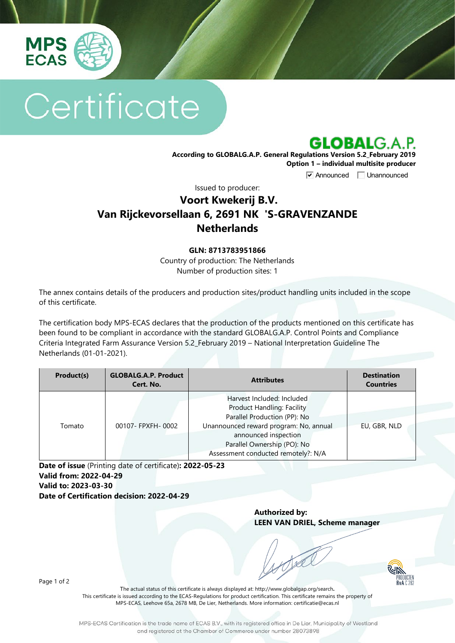

# Certificate



**According to GLOBALG.A.P. General Regulations Version 5.2\_February 2019 Option 1 – individual multisite producer**

**V** Announced **Unannounced** 

Issued to producer:

## **Voort Kwekerij B.V. Van Rijckevorsellaan 6, 2691 NK 'S-GRAVENZANDE Netherlands**

#### **GLN: 8713783951866**

Country of production: The Netherlands Number of production sites: 1

The annex contains details of the producers and production sites/product handling units included in the scope of this certificate.

The certification body MPS-ECAS declares that the production of the products mentioned on this certificate has been found to be compliant in accordance with the standard GLOBALG.A.P. Control Points and Compliance Criteria Integrated Farm Assurance Version 5.2\_February 2019 – National Interpretation Guideline The Netherlands (01-01-2021).

| Product(s) | <b>GLOBALG.A.P. Product</b><br>Cert. No. | <b>Attributes</b>                                                                                                                                                                                                                       | <b>Destination</b><br><b>Countries</b> |
|------------|------------------------------------------|-----------------------------------------------------------------------------------------------------------------------------------------------------------------------------------------------------------------------------------------|----------------------------------------|
| Tomato     | 00107- FPXFH-0002                        | Harvest Included: Included<br><b>Product Handling: Facility</b><br>Parallel Production (PP): No<br>Unannounced reward program: No, annual<br>announced inspection<br>Parallel Ownership (PO): No<br>Assessment conducted remotely?: N/A | EU, GBR, NLD                           |

**Date of issue** (Printing date of certificate)**: 2022-05-23 Valid from: 2022-04-29 Valid to: 2023-03-30 Date of Certification decision: 2022-04-29**

> **Authorized by: LEEN VAN DRIEL, Scheme manager**

> > PRODUCTEN

Page 1 of 2

The actual status of this certificate is always displayed at: <http://www.globalgap.org/search>**.**  This certificate is issued according to the ECAS-Regulations for product certification. This certificate remains the property of MPS-ECAS, Leehove 65a, 2678 MB, De Lier, Netherlands. More information[: certificatie@ecas.nl](mailto:certificatie@ecas.nl)